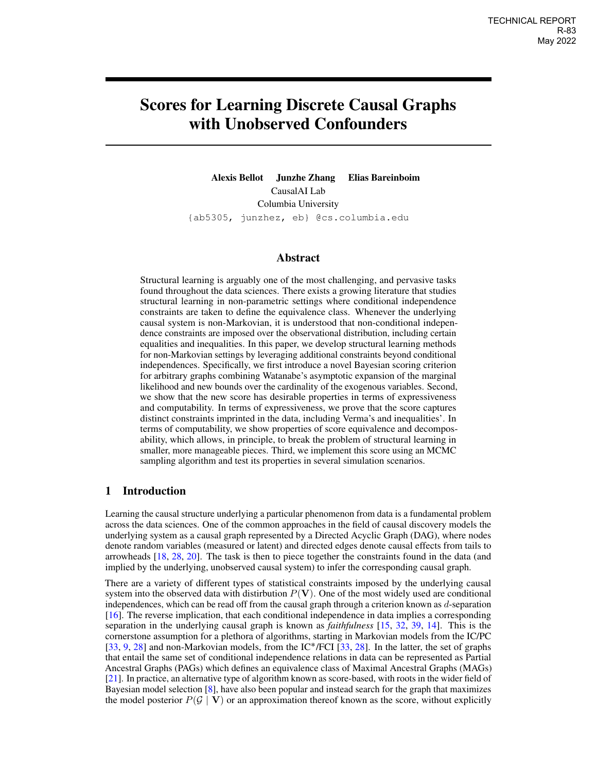# <span id="page-0-0"></span>Scores for Learning Discrete Causal Graphs with Unobserved Confounders

Alexis Bellot Junzhe Zhang Elias Bareinboim CausalAI Lab Columbia University {ab5305, junzhez, eb} @cs.columbia.edu

## Abstract

Structural learning is arguably one of the most challenging, and pervasive tasks found throughout the data sciences. There exists a growing literature that studies structural learning in non-parametric settings where conditional independence constraints are taken to define the equivalence class. Whenever the underlying causal system is non-Markovian, it is understood that non-conditional independence constraints are imposed over the observational distribution, including certain equalities and inequalities. In this paper, we develop structural learning methods for non-Markovian settings by leveraging additional constraints beyond conditional independences. Specifically, we first introduce a novel Bayesian scoring criterion for arbitrary graphs combining Watanabe's asymptotic expansion of the marginal likelihood and new bounds over the cardinality of the exogenous variables. Second, we show that the new score has desirable properties in terms of expressiveness and computability. In terms of expressiveness, we prove that the score captures distinct constraints imprinted in the data, including Verma's and inequalities'. In terms of computability, we show properties of score equivalence and decomposability, which allows, in principle, to break the problem of structural learning in smaller, more manageable pieces. Third, we implement this score using an MCMC sampling algorithm and test its properties in several simulation scenarios.

# 1 Introduction

Learning the causal structure underlying a particular phenomenon from data is a fundamental problem across the data sciences. One of the common approaches in the field of causal discovery models the underlying system as a causal graph represented by a Directed Acyclic Graph (DAG), where nodes denote random variables (measured or latent) and directed edges denote causal effects from tails to arrowheads [\[18,](#page-9-0) [28,](#page-10-0) [20\]](#page-9-1). The task is then to piece together the constraints found in the data (and implied by the underlying, unobserved causal system) to infer the corresponding causal graph.

There are a variety of different types of statistical constraints imposed by the underlying causal system into the observed data with distirbution  $P(V)$ . One of the most widely used are conditional independences, which can be read off from the causal graph through a criterion known as d-separation [\[16\]](#page-9-2). The reverse implication, that each conditional independence in data implies a corresponding separation in the underlying causal graph is known as *faithfulness* [\[15,](#page-9-3) [32,](#page-10-1) [39,](#page-10-2) [14\]](#page-9-4). This is the cornerstone assumption for a plethora of algorithms, starting in Markovian models from the IC/PC [\[33,](#page-10-3) [9,](#page-9-5) [28\]](#page-10-0) and non-Markovian models, from the IC˚/FCI [\[33,](#page-10-3) [28\]](#page-10-0). In the latter, the set of graphs that entail the same set of conditional independence relations in data can be represented as Partial Ancestral Graphs (PAGs) which defines an equivalence class of Maximal Ancestral Graphs (MAGs) [\[21\]](#page-9-6). In practice, an alternative type of algorithm known as score-based, with roots in the wider field of Bayesian model selection [\[8\]](#page-9-7), have also been popular and instead search for the graph that maximizes the model posterior  $P(G | V)$  or an approximation thereof known as the score, without explicitly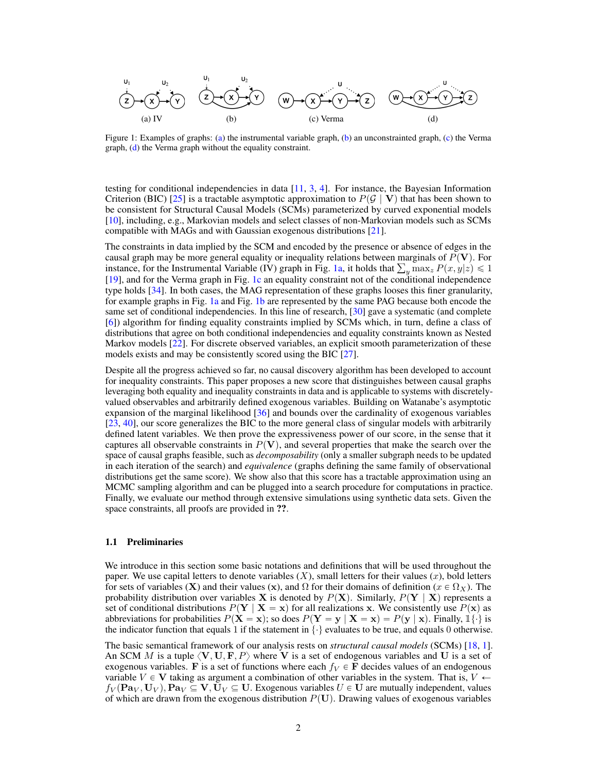<span id="page-1-0"></span>

Figure 1: Examples of graphs: [\(a\)](#page-1-0) the instrumental variable graph, [\(b\)](#page-1-0) an unconstrainted graph, [\(c\)](#page-1-0) the Verma graph, [\(d\)](#page-1-0) the Verma graph without the equality constraint.

testing for conditional independencies in data  $[11, 3, 4]$  $[11, 3, 4]$  $[11, 3, 4]$  $[11, 3, 4]$  $[11, 3, 4]$ . For instance, the Bayesian Information Criterion (BIC) [\[25\]](#page-9-9) is a tractable asymptotic approximation to  $P(G | V)$  that has been shown to be consistent for Structural Causal Models (SCMs) parameterized by curved exponential models [\[10\]](#page-9-10), including, e.g., Markovian models and select classes of non-Markovian models such as SCMs compatible with MAGs and with Gaussian exogenous distributions [\[21\]](#page-9-6).

The constraints in data implied by the SCM and encoded by the presence or absence of edges in the causal graph may be more general equality or inequality relations between marginals of  $P(V)$ . For causal graph may be more general equality or inequality relations between marginals of  $P(V)$ . For instance, for the Instrumental Variable (IV) graph in Fig. [1a,](#page-1-0) it holds that  $\sum_{y} \max_{z} P(x, y|z) \leq 1$ [\[19\]](#page-9-11), and for the Verma graph in Fig. [1c](#page-1-0) an equality constraint not of the conditional independence type holds [\[34\]](#page-10-4). In both cases, the MAG representation of these graphs looses this finer granularity, for example graphs in Fig. [1a](#page-1-0) and Fig. [1b](#page-1-0) are represented by the same PAG because both encode the same set of conditional independencies. In this line of research, [\[30\]](#page-10-5) gave a systematic (and complete [\[6\]](#page-8-2)) algorithm for finding equality constraints implied by SCMs which, in turn, define a class of distributions that agree on both conditional independencies and equality constraints known as Nested Markov models [\[22\]](#page-9-12). For discrete observed variables, an explicit smooth parameterization of these models exists and may be consistently scored using the BIC [\[27\]](#page-10-6).

Despite all the progress achieved so far, no causal discovery algorithm has been developed to account for inequality constraints. This paper proposes a new score that distinguishes between causal graphs leveraging both equality and inequality constraints in data and is applicable to systems with discretelyvalued observables and arbitrarily defined exogenous variables. Building on Watanabe's asymptotic expansion of the marginal likelihood [\[36\]](#page-10-7) and bounds over the cardinality of exogenous variables [\[23,](#page-9-13) [40\]](#page-10-8), our score generalizes the BIC to the more general class of singular models with arbitrarily defined latent variables. We then prove the expressiveness power of our score, in the sense that it captures all observable constraints in  $P(V)$ , and several properties that make the search over the space of causal graphs feasible, such as *decomposability* (only a smaller subgraph needs to be updated in each iteration of the search) and *equivalence* (graphs defining the same family of observational distributions get the same score). We show also that this score has a tractable approximation using an MCMC sampling algorithm and can be plugged into a search procedure for computations in practice. Finally, we evaluate our method through extensive simulations using synthetic data sets. Given the space constraints, all proofs are provided in ??.

#### 1.1 Preliminaries

We introduce in this section some basic notations and definitions that will be used throughout the paper. We use capital letters to denote variables  $(X)$ , small letters for their values  $(x)$ , bold letters for sets of variables (X) and their values (x), and  $\Omega$  for their domains of definition ( $x \in \Omega_X$ ). The probability distribution over variables **X** is denoted by  $P(X)$ . Similarly,  $P(Y | X)$  represents a set of conditional distributions  $P(Y | X = x)$  for all realizations x. We consistently use  $P(x)$  as abbreviations for probabilities  $P(\mathbf{X} = \mathbf{x})$ ; so does  $P(\mathbf{Y} = \mathbf{y} | \mathbf{X} = \mathbf{x}) = P(\mathbf{y} | \mathbf{x})$ . Finally,  $\mathbb{I}\{\cdot\}$  is the indicator function that equals 1 if the statement in  $\{\cdot\}$  evaluates to be true, and equals 0 otherwise.

The basic semantical framework of our analysis rests on *structural causal models* (SCMs) [\[18,](#page-9-0) [1\]](#page-8-3). An SCM M is a tuple  $\langle V, U, F, P \rangle$  where V is a set of endogenous variables and U is a set of exogenous variables. F is a set of functions where each  $f_V \in \mathbf{F}$  decides values of an endogenous variable V  $\in$  V taking as argument a combination of other variables in the system. That is,  $V \leftarrow$  $f_V(\mathbf{Pa}_V, \mathbf{U}_V), \mathbf{Pa}_V \subseteq \mathbf{V}, \mathbf{U}_V \subseteq \mathbf{U}$ . Exogenous variables  $U \in \mathbf{U}$  are mutually independent, values of which are drawn from the exogenous distribution  $P(U)$ . Drawing values of exogenous variables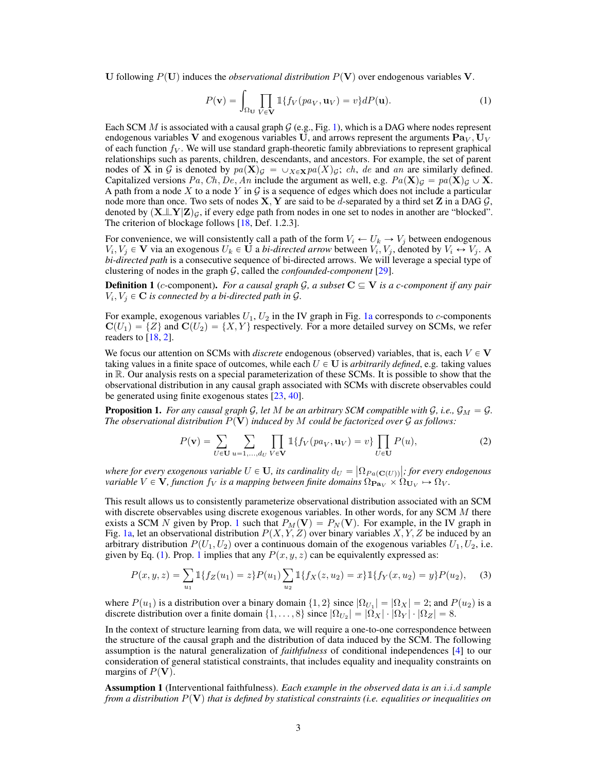U following  $P(U)$  induces the *observational distribution*  $P(V)$  over endogenous variables V.

<span id="page-2-1"></span>
$$
P(\mathbf{v}) = \int_{\Omega_{\mathbf{U}}} \prod_{V \in \mathbf{V}} \mathbb{1} \{ f_V(p a_V, \mathbf{u}_V) = v \} dP(\mathbf{u}).
$$
 (1)

Each SCM M is associated with a causal graph  $G$  (e.g., Fig. [1\)](#page-1-0), which is a DAG where nodes represent endogenous variables V and exogenous variables U, and arrows represent the arguments  $\mathbf{Pa}_V, \mathbf{U}_V$ of each function  $f_V$ . We will use standard graph-theoretic family abbreviations to represent graphical relationships such as parents, children, descendants, and ancestors. For example, the set of parent nodes of **X** in G is denoted by  $pa(\mathbf{X})_G = \cup_{X \in \mathbf{X}}pa(X)_G$ ; ch, de and an are similarly defined. Capitalized versions Pa, Ch, De, An include the argument as well, e.g.  $Pa(\mathbf{X})_g = pa(\mathbf{X})_g \cup \mathbf{X}$ . A path from a node X to a node Y in  $\mathcal G$  is a sequence of edges which does not include a particular node more than once. Two sets of nodes  $X, Y$  are said to be d-separated by a third set Z in a DAG  $G$ , denoted by  $(\mathbf{X} \bot\!\!\bot \mathbf{Y}|\mathbf{Z})_{\mathcal{G}},$  if every edge path from nodes in one set to nodes in another are "blocked". The criterion of blockage follows [\[18,](#page-9-0) Def. 1.2.3].

For convenience, we will consistently call a path of the form  $V_i \leftarrow U_k \rightarrow V_j$  between endogenous  $V_i, V_j \in \mathbf{V}$  via an exogenous  $U_k \in \mathbf{U}$  a *bi-directed arrow* between  $V_i, V_j$ , denoted by  $V_i \leftrightarrow V_j$ . A *bi-directed path* is a consecutive sequence of bi-directed arrows. We will leverage a special type of clustering of nodes in the graph G, called the *confounded-component* [\[29\]](#page-10-9).

**Definition 1** (c-component). *For a causal graph*  $\mathcal{G}$ , a subset  $C \subseteq V$  *is a c-component if any pair*  $V_i, V_j \in \mathbf{C}$  *is connected by a bi-directed path in G*.

For example, exogenous variables  $U_1, U_2$  in the IV graph in Fig. [1a](#page-1-0) corresponds to c-components  $C(U_1) = \{Z\}$  and  $C(U_2) = \{X, Y\}$  respectively. For a more detailed survey on SCMs, we refer readers to  $[18, 2]$  $[18, 2]$  $[18, 2]$ .

We focus our attention on SCMs with *discrete* endogenous (observed) variables, that is, each  $V \in V$ taking values in a finite space of outcomes, while each  $U \in U$  is *arbitrarily defined*, e.g. taking values in R. Our analysis rests on a special parameterization of these SCMs. It is possible to show that the observational distribution in any causal graph associated with SCMs with discrete observables could be generated using finite exogenous states [\[23,](#page-9-13) [40\]](#page-10-8).

<span id="page-2-0"></span>**Proposition 1.** *For any causal graph* G, let M be an arbitrary SCM compatible with G, i.e.,  $\mathcal{G}_M = \mathcal{G}$ . *The observational distribution*  $P(V)$  *induced by* M *could be factorized over*  $G$  *as follows:* 

<span id="page-2-3"></span><span id="page-2-2"></span>
$$
P(\mathbf{v}) = \sum_{U \in \mathbf{U}} \sum_{u=1,...,d_U} \prod_{V \in \mathbf{V}} \mathbb{1} \{ f_V(p a_V, \mathbf{u}_V) = v \} \prod_{U \in \mathbf{U}} P(u),
$$
 (2)

where for every exogenous variable  $U \in {\bf U}$ , its cardinality  $d_U = \big| \Omega_{Pa({\bf C}(U))} \big|$ ; for every endogenous *variable*  $V \in V$ , function  $f_V$  is a mapping between finite domains  $\Omega_{\bf Pa_V} \times \Omega_{\bf U_V} \mapsto \Omega_V$ .

This result allows us to consistently parameterize observational distribution associated with an SCM with discrete observables using discrete exogenous variables. In other words, for any SCM  $M$  there exists a SCM N given by Prop. [1](#page-2-0) such that  $P_M(\mathbf{V}) = P_N(\mathbf{V})$ . For example, in the IV graph in Fig. [1a,](#page-1-0) let an observational distribution  $P(X, Y, Z)$  over binary variables  $X, Y, Z$  be induced by an arbitrary distribution  $P(U_1, U_2)$  over a continuous domain of the exogenous variables  $U_1, U_2$ , i.e. given by Eq. [\(1\)](#page-2-1). Prop. [1](#page-2-0) implies that any  $P(x, y, z)$  can be equivalently expressed as:

$$
P(x, y, z) = \sum_{u_1} \mathbb{1}\{f_Z(u_1) = z\} P(u_1) \sum_{u_2} \mathbb{1}\{f_X(z, u_2) = x\} \mathbb{1}\{f_Y(x, u_2) = y\} P(u_2), \quad (3)
$$

where  $P(u_1)$  is a distribution over a binary domain  $\{1, 2\}$  since  $|\Omega_{U_1}| = |\Omega_X| = 2$ ; and  $P(u_2)$  is a discrete distribution over a finite domain  $\{1, \ldots, 8\}$  since  $|\Omega_{U_2}| = |\Omega_X| \cdot |\Omega_Y| \cdot |\Omega_Z| = 8$ .

In the context of structure learning from data, we will require a one-to-one correspondence between the structure of the causal graph and the distribution of data induced by the SCM. The following assumption is the natural generalization of *faithfulness* of conditional independences [\[4\]](#page-8-1) to our consideration of general statistical constraints, that includes equality and inequality constraints on margins of  $P(V)$ .

Assumption 1 (Interventional faithfulness). *Each example in the observed data is an* i.i.d *sample from a distribution*  $P(V)$  *that is defined by statistical constraints (i.e. equalities or inequalities on*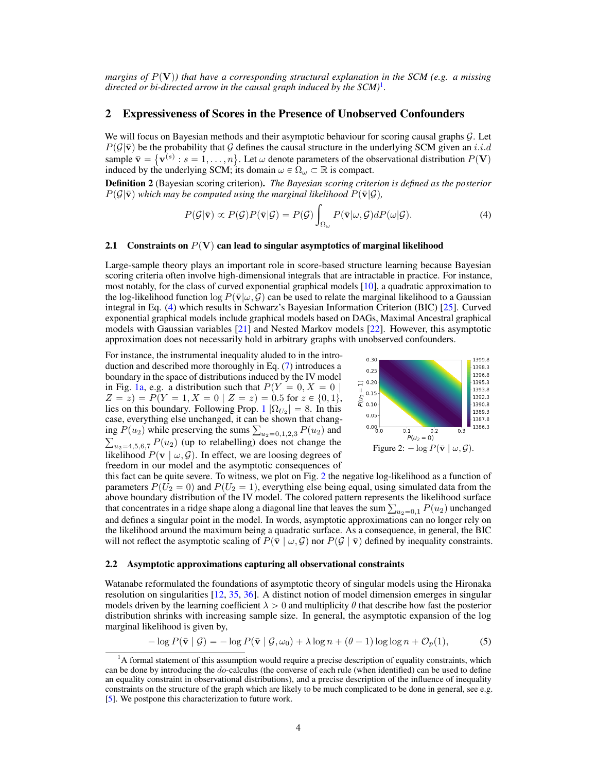*margins of*  $P(V)$ *) that have a corresponding structural explanation in the SCM (e.g. a missing directed or bi-directed arrow in the causal graph induced by the SCM)*[1](#page-0-0) *.*

#### 2 Expressiveness of Scores in the Presence of Unobserved Confounders

We will focus on Bayesian methods and their asymptotic behaviour for scoring causal graphs  $\mathcal{G}$ . Let  $P(\mathcal{G}|\bar{\mathbf{v}})$  be the probability that G defines the causal structure in the underlying SCM given an i.i.d  $P(\mathcal{G}|\mathbf{v})$  be the probability that  $\mathcal{G}$  defines the causal structure in the underlying SCM given an *i.i.d* sample  $\bar{\mathbf{v}} = {\mathbf{v}}^{(s)} : s = 1, ..., n$ . Let  $\omega$  denote parameters of the observational distribution  $P(\mathbf$ induced by the underlying SCM; its domain  $\omega \in \Omega_{\omega} \subset \mathbb{R}$  is compact.

Definition 2 (Bayesian scoring criterion). *The Bayesian scoring criterion is defined as the posterior*  $P(\mathcal{G}|\bar{\mathbf{v}})$  which may be computed using the marginal likelihood  $P(\bar{\mathbf{v}}|\mathcal{G})$ ,

$$
P(\mathcal{G}|\bar{\mathbf{v}}) \propto P(\mathcal{G})P(\bar{\mathbf{v}}|\mathcal{G}) = P(\mathcal{G}) \int_{\Omega_{\omega}} P(\bar{\mathbf{v}}|\omega, \mathcal{G}) dP(\omega|\mathcal{G}). \tag{4}
$$

#### 2.1 Constraints on  $P(V)$  can lead to singular asymptotics of marginal likelihood

Large-sample theory plays an important role in score-based structure learning because Bayesian scoring criteria often involve high-dimensional integrals that are intractable in practice. For instance, most notably, for the class of curved exponential graphical models [\[10\]](#page-9-10), a quadratic approximation to the log-likelihood function  $\log P(\bar{v}|\omega, \mathcal{G})$  can be used to relate the marginal likelihood to a Gaussian integral in Eq. [\(4\)](#page-3-0) which results in Schwarz's Bayesian Information Criterion (BIC) [\[25\]](#page-9-9). Curved exponential graphical models include graphical models based on DAGs, Maximal Ancestral graphical models with Gaussian variables [\[21\]](#page-9-6) and Nested Markov models [\[22\]](#page-9-12). However, this asymptotic approximation does not necessarily hold in arbitrary graphs with unobserved confounders.

For instance, the instrumental inequality aluded to in the introduction and described more thoroughly in Eq. [\(7\)](#page-4-0) introduces a boundary in the space of distributions induced by the IV model in Fig. [1a,](#page-1-0) e.g. a distribution such that  $P(Y = 0, X = 0 |$  $Z = z$ ) =  $P(Y = 1, X = 0 | Z = z) = 0.5$  for  $z \in \{0, 1\},$ lies on this boundary. Following Prop. [1](#page-2-0)  $|\Omega_{U_2}| = 8$ . In this case, everything else unchanged, it can be shown that changcase, everything else unchanged, it can be shown that changing  $P(u_2)$  while preserving the sums  $\sum_{u_2=0,1,2,3} P(u_2)$  and  $u_{2=4,5,6,7} P(u_2)$  (up to relabelling) does not change the likelihood  $P(\mathbf{v} \mid \omega, \mathcal{G})$ . In effect, we are loosing degrees of freedom in our model and the asymptotic consequences of

<span id="page-3-2"></span><span id="page-3-1"></span><span id="page-3-0"></span>

this fact can be quite severe. To witness, we plot on Fig. [2](#page-3-1) the negative log-likelihood as a function of parameters  $P(U_2 = 0)$  and  $P(U_2 = 1)$ , everything else being equal, using simulated data from the above boundary distribution of the IV model. The colored pattern represents the likelihood surface above boundary distribution of the IV model. The colored pattern represents the likelihood surface<br>that concentrates in a ridge shape along a diagonal line that leaves the sum  $\sum_{u_2=0,1} P(u_2)$  unchanged and defines a singular point in the model. In words, asymptotic approximations can no longer rely on the likelihood around the maximum being a quadratic surface. As a consequence, in general, the BIC will not reflect the asymptotic scaling of  $P(\bar{v} | \omega, \mathcal{G})$  nor  $P(\mathcal{G} | \bar{v})$  defined by inequality constraints.

#### 2.2 Asymptotic approximations capturing all observational constraints

Watanabe reformulated the foundations of asymptotic theory of singular models using the Hironaka resolution on singularities [\[12,](#page-9-14) [35,](#page-10-10) [36\]](#page-10-7). A distinct notion of model dimension emerges in singular models driven by the learning coefficient  $\lambda > 0$  and multiplicity  $\theta$  that describe how fast the posterior distribution shrinks with increasing sample size. In general, the asymptotic expansion of the log marginal likelihood is given by,

$$
-\log P(\bar{\mathbf{v}} \mid \mathcal{G}) = -\log P(\bar{\mathbf{v}} \mid \mathcal{G}, \omega_0) + \lambda \log n + (\theta - 1) \log \log n + \mathcal{O}_p(1),\tag{5}
$$

 $1A$  formal statement of this assumption would require a precise description of equality constraints, which can be done by introducing the do-calculus (the converse of each rule (when identified) can be used to define an equality constraint in observational distributions), and a precise description of the influence of inequality constraints on the structure of the graph which are likely to be much complicated to be done in general, see e.g. [\[5\]](#page-8-5). We postpone this characterization to future work.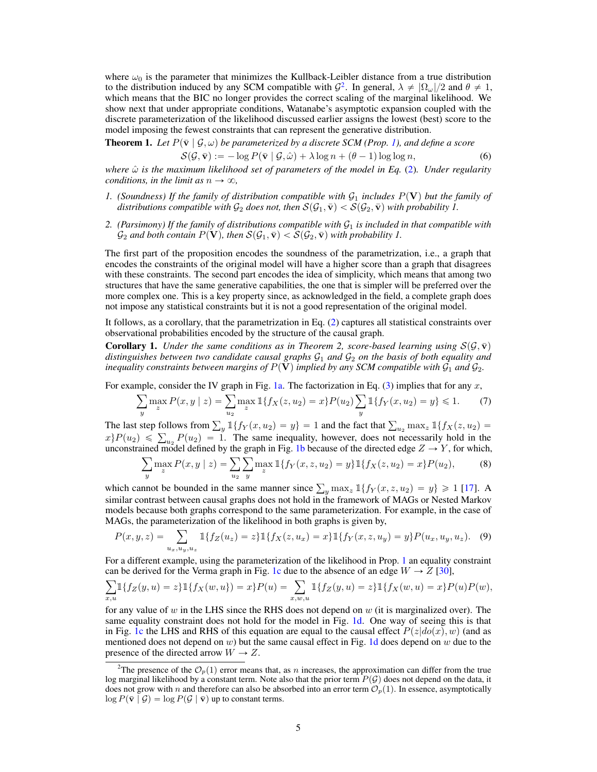where  $\omega_0$  is the parameter that minimizes the Kullback-Leibler distance from a true distribution to the distribution induced by any SCM compatible with  $\mathcal{G}^2$  $\mathcal{G}^2$ . In general,  $\lambda \neq |\Omega_{\omega}|/2$  and  $\theta \neq 1$ , which means that the BIC no longer provides the correct scaling of the marginal likelihood. We show next that under appropriate conditions, Watanabe's asymptotic expansion coupled with the discrete parameterization of the likelihood discussed earlier assigns the lowest (best) score to the model imposing the fewest constraints that can represent the generative distribution.

<span id="page-4-1"></span>**Theorem 1.** Let 
$$
P(\bar{v} | \mathcal{G}, \omega)
$$
 be parameterized by a discrete SCM (Prop. 1), and define a score

$$
S(\mathcal{G}, \bar{\mathbf{v}}) := -\log P(\bar{\mathbf{v}} \mid \mathcal{G}, \hat{\omega}) + \lambda \log n + (\theta - 1) \log \log n, \tag{6}
$$

*where* ωˆ *is the maximum likelihood set of parameters of the model in Eq.* [\(2\)](#page-2-2)*. Under regularity conditions, in the limit as*  $n \to \infty$ *,* 

- *1.* (Soundness) If the family of distribution compatible with  $\mathcal{G}_1$  includes  $P(\mathbf{V})$  but the family of *distributions compatible with*  $\mathcal{G}_2$  *does not, then*  $\mathcal{S}(\mathcal{G}_1, \bar{\mathbf{v}}) < \mathcal{S}(\mathcal{G}_2, \bar{\mathbf{v}})$  *with probability 1.*
- 2. (Parsimony) If the family of distributions compatible with  $G_1$  is included in that compatible with  $\mathcal{G}_2$  *and both contain*  $P(\mathbf{V})$ *, then*  $\mathcal{S}(\mathcal{G}_1, \bar{\mathbf{v}}) < \mathcal{S}(\mathcal{G}_2, \bar{\mathbf{v}})$  *with probability 1.*

The first part of the proposition encodes the soundness of the parametrization, i.e., a graph that encodes the constraints of the original model will have a higher score than a graph that disagrees with these constraints. The second part encodes the idea of simplicity, which means that among two structures that have the same generative capabilities, the one that is simpler will be preferred over the more complex one. This is a key property since, as acknowledged in the field, a complete graph does not impose any statistical constraints but it is not a good representation of the original model.

It follows, as a corollary, that the parametrization in Eq. [\(2\)](#page-2-2) captures all statistical constraints over observational probabilities encoded by the structure of the causal graph.

**Corollary 1.** *Under the same conditions as in Theorem 2, score-based learning using*  $S(\mathcal{G}, \bar{v})$ *distinguishes between two candidate causal graphs*  $G_1$  *and*  $G_2$  *on the basis of both equality and inequality constraints between margins of*  $P(V)$  *implied by any SCM compatible with*  $\mathcal{G}_1$  *and*  $\mathcal{G}_2$ *.* 

<span id="page-4-0"></span>For example, consider the IV graph in Fig. 1a. The factorization in Eq. (3) implies that for any x,  
\n
$$
\sum_{y} \max_{z} P(x, y \mid z) = \sum_{u_2} \max_{z} \mathbb{1}\{f_X(z, u_2) = x\} P(u_2) \sum_{y} \mathbb{1}\{f_Y(x, u_2) = y\} \le 1.
$$
 (7)

The last step follows from  $\sum_{y} u_2$ <br>  $x\}P(u_2) \le \sum_{u_2} P(u_2) = 1$ . The same inequality, however, does not necessarily hold in the

unconstrained model defined by the graph in Fig. 1b because of the directed edge 
$$
Z \to Y
$$
, for which,  
\n
$$
\sum_{y} \max_{z} P(x, y | z) = \sum_{u_2} \sum_{y} \max_{z} \mathbb{1}\{f_Y(x, z, u_2) = y\} \mathbb{1}\{f_X(z, u_2) = x\} P(u_2),
$$
\n(8)

which cannot be bounded in the same manner since  $\sum_{y} \max_{z} 1\{f_Y(x, z, u_2) = y\} \ge 1$  [\[17\]](#page-9-15). A similar contrast between causal graphs does not hold in the framework of MAGs or Nested Markov models because both graphs correspond to the same parameterization. For example, in the case of

MAGs, the parameterization of the likelihood in both graphs is given by,  
\n
$$
P(x, y, z) = \sum_{u_x, u_y, u_z} \mathbb{1}\{f_Z(u_z) = z\} \mathbb{1}\{f_X(z, u_x) = x\} \mathbb{1}\{f_Y(x, z, u_y) = y\} P(u_x, u_y, u_z).
$$
\n(9)

For a different example, using the parameterization of the likelihood in Prop. [1](#page-2-0) an equality constraint

can be derived for the Verma graph in Fig. 1c due to the absence of an edge 
$$
W \to Z
$$
 [30],  
\n
$$
\sum_{x,u} 1\{f_Z(y,u) = z\} 1\{f_X(w,u)\} = x\} P(u) = \sum_{x,w,u} 1\{f_Z(y,u) = z\} 1\{f_X(w,u) = x\} P(u) P(w),
$$

for any value of  $w$  in the LHS since the RHS does not depend on  $w$  (it is marginalized over). The same equality constraint does not hold for the model in Fig. [1d.](#page-1-0) One way of seeing this is that in Fig. [1c](#page-1-0) the LHS and RHS of this equation are equal to the causal effect  $P(z|do(x), w)$  (and as mentioned does not depend on w) but the same causal effect in Fig. [1d](#page-1-0) does depend on w due to the presence of the directed arrow  $W \rightarrow Z$ .

<sup>&</sup>lt;sup>2</sup>The presence of the  $\mathcal{O}_p(1)$  error means that, as n increases, the approximation can differ from the true log marginal likelihood by a constant term. Note also that the prior term  $P(G)$  does not depend on the data, it does not grow with n and therefore can also be absorbed into an error term  $\mathcal{O}_p(1)$ . In essence, asymptotically  $\log P(\bar{v} | \mathcal{G}) = \log P(\mathcal{G} | \bar{v})$  up to constant terms.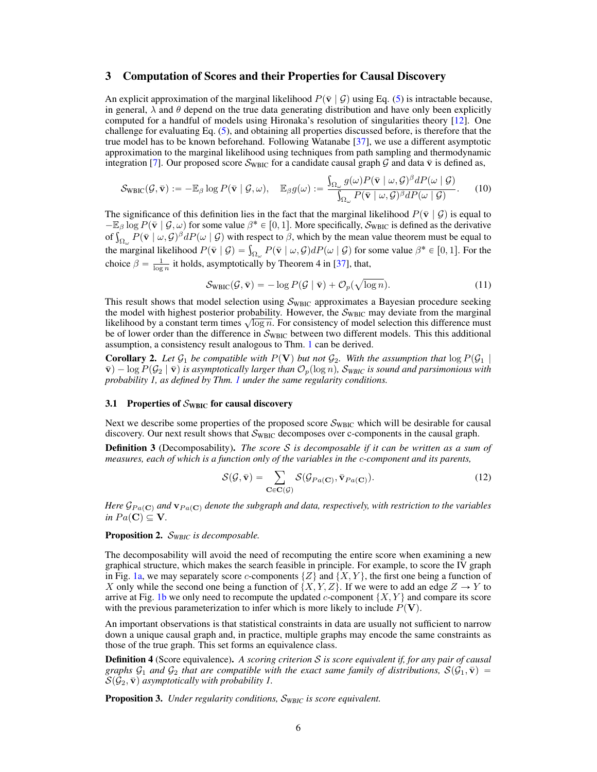#### 3 Computation of Scores and their Properties for Causal Discovery

An explicit approximation of the marginal likelihood  $P(\bar{v} | \mathcal{G})$  using Eq. [\(5\)](#page-3-2) is intractable because, in general,  $\lambda$  and  $\theta$  depend on the true data generating distribution and have only been explicitly computed for a handful of models using Hironaka's resolution of singularities theory [\[12\]](#page-9-14). One challenge for evaluating Eq. [\(5\)](#page-3-2), and obtaining all properties discussed before, is therefore that the true model has to be known beforehand. Following Watanabe [\[37\]](#page-10-11), we use a different asymptotic approximation to the marginal likelihood using techniques from path sampling and thermodynamic integration [\[7\]](#page-9-16). Our proposed score  $S_{\text{WBIC}}$  for a candidate causal graph G and data  $\bar{v}$  is defined as,

$$
\mathcal{S}_{\text{WBIC}}(\mathcal{G}, \bar{\mathbf{v}}) := -\mathbb{E}_{\beta} \log P(\bar{\mathbf{v}} \mid \mathcal{G}, \omega), \quad \mathbb{E}_{\beta} g(\omega) := \frac{\int_{\Omega_{\omega}} g(\omega) P(\bar{\mathbf{v}} \mid \omega, \mathcal{G})^{\beta} dP(\omega \mid \mathcal{G})}{\int_{\Omega_{\omega}} P(\bar{\mathbf{v}} \mid \omega, \mathcal{G})^{\beta} dP(\omega \mid \mathcal{G})}.
$$
 (10)

The significance of this definition lies in the fact that the marginal likelihood  $P(\bar{v} | \mathcal{G})$  is equal to  $-\mathbb{E}_{\beta}$  log  $P(\bar{\mathbf{v}} | \mathcal{G}, \omega)$  for some value  $\beta^* \in [0, 1]$ . More specifically,  $\mathcal{S}_{\text{WBIC}}$  is defined as the derivative  $-\mathbb{E}_{\beta}$  log  $P(\bar{\mathbf{v}} | \mathcal{G}, \omega)$  for some value  $\beta^* \in [0, 1]$ . More specifically,  $S_{\text{WBL}}$  is defined as the derivative of  $\int_{\Omega_{\omega}} P(\bar{\mathbf{v}} | \omega, \mathcal{G})^{\beta} dP(\omega | \mathcal{G})$  with respect to  $\beta$ , which by the mean valu of  $\int_{\Omega_{\omega}} P(\mathbf{v} \mid \omega, \mathcal{G})^p dP(\omega \mid \mathcal{G})$  with respect to  $\beta$ , which by the mean value theorem must be equal to the marginal likelihood  $P(\bar{\mathbf{v}} \mid \mathcal{G}) = \int_{\Omega_{\omega}} P(\bar{\mathbf{v}} \mid \omega, \mathcal{G}) dP(\omega \mid \mathcal{G})$  for some value  $\$ choice  $\beta = \frac{1}{\log n}$  it holds, asymptotically by Theorem 4 in [\[37\]](#page-10-11), that,

$$
S_{\text{WBIC}}(\mathcal{G}, \bar{\mathbf{v}}) = -\log P(\mathcal{G} \mid \bar{\mathbf{v}}) + \mathcal{O}_p(\sqrt{\log n}). \tag{11}
$$

This result shows that model selection using  $S_{\text{WBIC}}$  approximates a Bayesian procedure seeking the model with highest posterior probability. However, the  $S_{\text{WBIC}}$  may deviate from the marginal the model with highest posterior probability. However, the  $\sigma_{WBC}$  may deviate from the marginal likelihood by a constant term times  $\sqrt{\log n}$ . For consistency of model selection this difference must be of lower order than the difference in  $S_{\text{WBIC}}$  between two different models. This this additional assumption, a consistency result analogous to Thm. [1](#page-4-1) can be derived.

**Corollary 2.** Let  $\mathcal{G}_1$  be compatible with  $P(\mathbf{V})$  but not  $\mathcal{G}_2$ . With the assumption that  $\log P(\mathcal{G}_1 | \mathcal{G}_2)$  $\bar{\mathbf{v}}$ )  $-$  log  $P(\mathcal{G}_2 | \bar{\mathbf{v}})$  *is asymptotically larger than*  $\mathcal{O}_p(\log n)$ *, S<sub>WBIC</sub> is sound and parsimonious with probability 1, as defined by Thm. [1](#page-4-1) under the same regularity conditions.*

#### 3.1 Properties of  $S_{\text{WBIC}}$  for causal discovery

Next we describe some properties of the proposed score  $\mathcal{S}_{\text{WBC}}$  which will be desirable for causal discovery. Our next result shows that  $\mathcal{S}_{\text{WBIC}}$  decomposes over c-components in the causal graph.

Definition 3 (Decomposability). *The score* S *is decomposable if it can be written as a sum of measures, each of which is a function only of the variables in the* c*-component and its parents,*

$$
S(\mathcal{G}, \bar{\mathbf{v}}) = \sum_{\mathbf{C} \in \mathbf{C}(\mathcal{G})} S(\mathcal{G}_{Pa(\mathbf{C})}, \bar{\mathbf{v}}_{Pa(\mathbf{C})}).
$$
(12)

*Here*  $\mathcal{G}_{Pa(C)}$  *and*  $\mathbf{v}_{Pa(C)}$  *denote the subgraph and data, respectively, with restriction to the variables in*  $Pa(C) \subseteq V$ .

Proposition 2. S*WBIC is decomposable.*

The decomposability will avoid the need of recomputing the entire score when examining a new graphical structure, which makes the search feasible in principle. For example, to score the IV graph in Fig. [1a,](#page-1-0) we may separately score c-components  $\{Z\}$  and  $\{X, Y\}$ , the first one being a function of X only while the second one being a function of  $\{X, Y, Z\}$ . If we were to add an edge  $Z \to Y$  to arrive at Fig. [1b](#page-1-0) we only need to recompute the updated c-component  $\{X, Y\}$  and compare its score with the previous parameterization to infer which is more likely to include  $P(V)$ .

An important observations is that statistical constraints in data are usually not sufficient to narrow down a unique causal graph and, in practice, multiple graphs may encode the same constraints as those of the true graph. This set forms an equivalence class.

Definition 4 (Score equivalence). *A scoring criterion* S *is score equivalent if, for any pair of causal graphs*  $G_1$  *and*  $G_2$  *that are compatible with the exact same family of distributions,*  $S(G_1, \overline{v})$  =  $\mathcal{S}(\mathcal{G}_2, \bar{\mathbf{v}})$  asymptotically with probability 1.

Proposition 3. *Under regularity conditions,* S*WBIC is score equivalent.*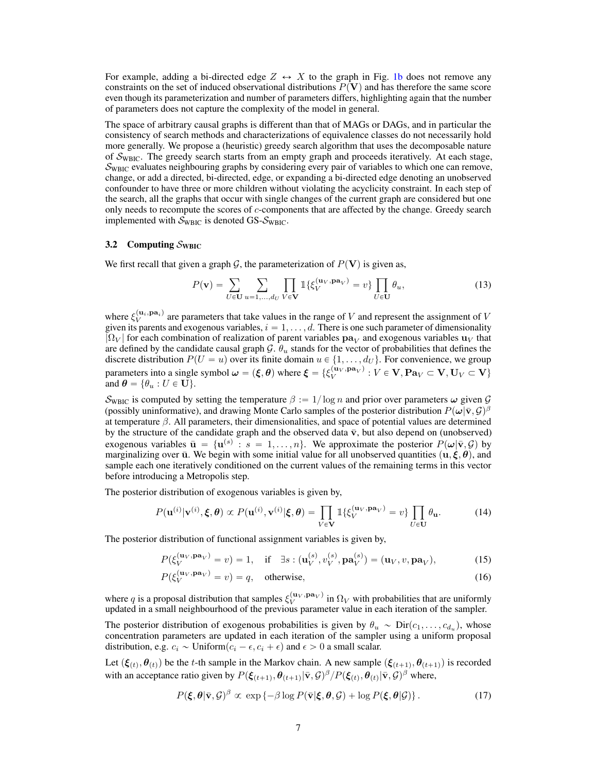For example, adding a bi-directed edge  $Z \leftrightarrow X$  to the graph in Fig. [1b](#page-1-0) does not remove any constraints on the set of induced observational distributions  $P(V)$  and has therefore the same score even though its parameterization and number of parameters differs, highlighting again that the number of parameters does not capture the complexity of the model in general.

The space of arbitrary causal graphs is different than that of MAGs or DAGs, and in particular the consistency of search methods and characterizations of equivalence classes do not necessarily hold more generally. We propose a (heuristic) greedy search algorithm that uses the decomposable nature of  $S_{\text{WBIC}}$ . The greedy search starts from an empty graph and proceeds iteratively. At each stage,  $\mathcal{S}_{\text{WBIC}}$  evaluates neighbouring graphs by considering every pair of variables to which one can remove, change, or add a directed, bi-directed, edge, or expanding a bi-directed edge denoting an unobserved confounder to have three or more children without violating the acyclicity constraint. In each step of the search, all the graphs that occur with single changes of the current graph are considered but one only needs to recompute the scores of c-components that are affected by the change. Greedy search implemented with  $S_{\text{WBIC}}$  is denoted GS- $S_{\text{WBIC}}$ .

#### <span id="page-6-0"></span>3.2 Computing  $S_{\text{WBIC}}$

We first recall that given a graph G, the parameterization of  $P(V)$  is given as,

$$
P(\mathbf{v}) = \sum_{U \in \mathbf{U}} \sum_{u=1,\dots,d_U} \prod_{V \in \mathbf{V}} \mathbb{1}\{\xi_V^{(\mathbf{u}_V,\mathbf{pa}_V)} = v\} \prod_{U \in \mathbf{U}} \theta_u,
$$
(13)

where  $\xi_V^{(u_i,pa_i)}$  are parameters that take values in the range of V and represent the assignment of V given its parents and exogenous variables,  $i = 1, \ldots, d$ . There is one such parameter of dimensionality  $|\Omega_V|$  for each combination of realization of parent variables  $\mathbf{pa}_V$  and exogenous variables  $\mathbf{u}_V$  that are defined by the candidate causal graph  $\mathcal{G}$ .  $\theta_u$  stands for the vector of probabilities that defines the discrete distribution  $P(U = u)$  over its finite domain  $u \in \{1, \ldots, d_U\}$ . For convenience, we group parameters into a single symbol  $\bm{\omega} = (\bm{\xi}, \bm{\theta})$  where  $\bm{\xi} = \{\xi_V^{(\mathbf{u}_V, \mathbf{p}\mathbf{a}_V)}: V \in \mathbf{V}, \mathbf{P}\mathbf{a}_V \subset \mathbf{V}, \mathbf{U}_V \subset \mathbf{V}\}$ and  $\boldsymbol{\theta} = \{\theta_u : U \in \mathbf{U}\}.$ 

 $\mathcal{S}_{\text{WBC}}$  is computed by setting the temperature  $\beta := 1/\log n$  and prior over parameters  $\omega$  given  $\mathcal{G}$ (possibly uninformative), and drawing Monte Carlo samples of the posterior distribution  $P(\omega|\bar{\mathbf{v}}, \mathcal{G})^{\beta}$ at temperature β. All parameters, their dimensionalities, and space of potential values are determined by the structure of the candidate graph and the observed data  $\bar{v}$ , but also depend on (unobserved) exogenous variables  $\bar{\mathbf{u}} = {\mathbf{u}}^{(s)} : s = 1, \ldots, n$ . We approximate the posterior  $P(\boldsymbol{\omega} | \bar{\mathbf{v}}, \mathcal{G})$  by marginalizing over  $\bar{u}$ . We begin with some initial value for all unobserved quantities  $(\bar{u}, \xi, \theta)$ , and sample each one iteratively conditioned on the current values of the remaining terms in this vector before introducing a Metropolis step.

The posterior distribution of exogenous variables is given by,

$$
P(\mathbf{u}^{(i)}|\mathbf{v}^{(i)},\boldsymbol{\xi},\boldsymbol{\theta}) \propto P(\mathbf{u}^{(i)},\mathbf{v}^{(i)}|\boldsymbol{\xi},\boldsymbol{\theta}) = \prod_{V \in \mathbf{V}} \mathbb{1}\{\xi_V^{(\mathbf{u}_V,\mathbf{p}\mathbf{a}_V)} = v\} \prod_{U \in \mathbf{U}} \theta_{\mathbf{u}}.
$$
(14)

The posterior distribution of functional assignment variables is given by,

$$
P(\xi_V^{(\mathbf{u}_V, \mathbf{p}\mathbf{a}_V)} = v) = 1, \quad \text{if} \quad \exists s : (\mathbf{u}_V^{(s)}, v_V^{(s)}, \mathbf{p}\mathbf{a}_V^{(s)}) = (\mathbf{u}_V, v, \mathbf{p}\mathbf{a}_V), \tag{15}
$$

$$
P(\xi_V^{(\mathbf{u}_V, \mathbf{p}\mathbf{a}_V)} = v) = q, \quad \text{otherwise}, \tag{16}
$$

where q is a proposal distribution that samples  $\xi_V^{(u_V,pa_V)}$  in  $\Omega_V$  with probabilities that are uniformly updated in a small neighbourhood of the previous parameter value in each iteration of the sampler.

The posterior distribution of exogenous probabilities is given by  $\theta_u \sim \text{Dir}(c_1, \dots, c_{d_u})$ , whose concentration parameters are updated in each iteration of the sampler using a uniform proposal distribution, e.g.  $c_i \sim \text{Uniform}(c_i - \epsilon, c_i + \epsilon)$  and  $\epsilon > 0$  a small scalar.

Let  $(\xi_{(t)}, \theta_{(t)})$  be the t-th sample in the Markov chain. A new sample  $(\xi_{(t+1)}, \theta_{(t+1)})$  is recorded with an acceptance ratio given by  $P(\xi_{(t+1)}, \theta_{(t+1)} | \bar{\mathbf{v}}, \mathcal{G})^\beta / P(\xi_{(t)}, \theta_{(t)} | \bar{\mathbf{v}}, \mathcal{G})^\beta$  where,

$$
P(\xi, \theta | \bar{\mathbf{v}}, \mathcal{G})^{\beta} \propto \exp\left\{-\beta \log P(\bar{\mathbf{v}} | \xi, \theta, \mathcal{G}) + \log P(\xi, \theta | \mathcal{G})\right\}.
$$
 (17)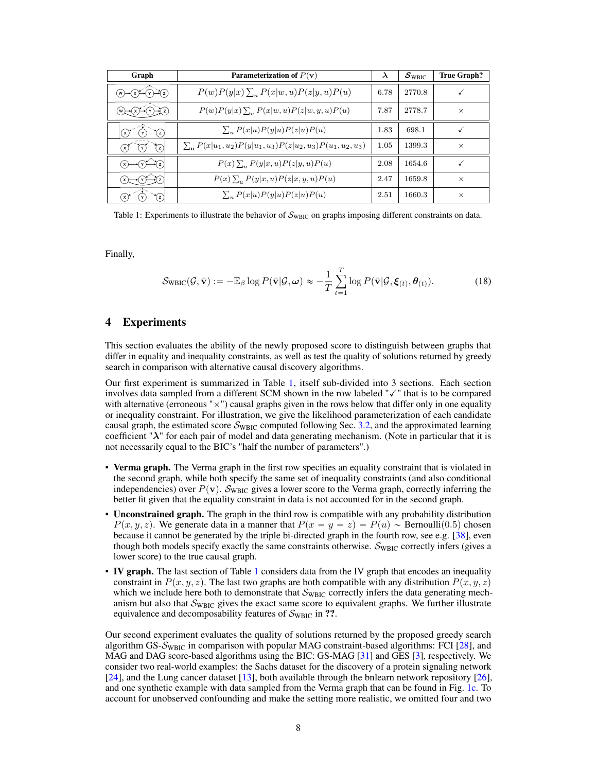<span id="page-7-0"></span>

| Graph                                                 | Parameterization of $P(\mathbf{v})$                                   | $\lambda$ | $S_{\text{WBIC}}$ | <b>True Graph?</b> |
|-------------------------------------------------------|-----------------------------------------------------------------------|-----------|-------------------|--------------------|
| $(w) \rightarrow (x) \rightarrow (y) \rightarrow (z)$ | $P(w)P(y x)\sum_{u}P(x w,u)P(z y,u)P(u)$                              | 6.78      | 2770.8            |                    |
| (w)<br>Yz)                                            | $P(w)P(y x)\sum_{u}P(x w,u)P(z w,y,u)P(u)$                            | 7.87      | 2778.7            | $\times$           |
| $\hat{z}$<br>(x)<br>Y                                 | $\sum_{u} P(x u)P(y u)P(z u)P(u)$                                     | 1.83      | 698.1             |                    |
| $\mathcal{C}$<br>$\gamma$<br>` Y `                    | $\sum_{u} P(x u_1, u_2) P(y u_1, u_3) P(z u_2, u_3) P(u_1, u_2, u_3)$ | 1.05      | 1399.3            | $\times$           |
| YZ)<br>( x )                                          | $P(x) \sum_{u} P(y x,u) P(z y,u) P(u)$                                | 2.08      | 1654.6            |                    |
| <b>x</b>                                              | $P(x)$ , $P(y x, u)P(z x, y, u)P(u)$                                  | 2.47      | 1659.8            | $\times$           |
| $\mathcal{C}$<br>'x I                                 | $\sum_{u} P(x u)P(y u)P(z u)P(u)$                                     | 2.51      | 1660.3            | $\times$           |

Table 1: Experiments to illustrate the behavior of  $S_{\text{WBC}}$  on graphs imposing different constraints on data.

Finally,

$$
\mathcal{S}_{\text{WBIC}}(\mathcal{G}, \bar{\mathbf{v}}) := -\mathbb{E}_{\beta} \log P(\bar{\mathbf{v}} | \mathcal{G}, \boldsymbol{\omega}) \approx -\frac{1}{T} \sum_{t=1}^{T} \log P(\bar{\mathbf{v}} | \mathcal{G}, \boldsymbol{\xi}_{(t)}, \boldsymbol{\theta}_{(t)}).
$$
(18)

## 4 Experiments

This section evaluates the ability of the newly proposed score to distinguish between graphs that differ in equality and inequality constraints, as well as test the quality of solutions returned by greedy search in comparison with alternative causal discovery algorithms.

Our first experiment is summarized in Table [1,](#page-7-0) itself sub-divided into 3 sections. Each section involves data sampled from a different SCM shown in the row labeled "✓" that is to be compared with alternative (erroneous " $\times$ ") causal graphs given in the rows below that differ only in one equality or inequality constraint. For illustration, we give the likelihood parameterization of each candidate causal graph, the estimated score  $S_{\text{WBIC}}$  computed following Sec. [3.2,](#page-6-0) and the approximated learning coefficient " $\lambda$ " for each pair of model and data generating mechanism. (Note in particular that it is not necessarily equal to the BIC's "half the number of parameters".)

- Verma graph. The Verma graph in the first row specifies an equality constraint that is violated in the second graph, while both specify the same set of inequality constraints (and also conditional independencies) over  $P(\mathbf{v})$ . S<sub>WBIC</sub> gives a lower score to the Verma graph, correctly inferring the better fit given that the equality constraint in data is not accounted for in the second graph.
- Unconstrained graph. The graph in the third row is compatible with any probability distribution  $P(x, y, z)$ . We generate data in a manner that  $P(x = y = z) = P(u) \sim \text{Bernoulli}(0.5)$  chosen because it cannot be generated by the triple bi-directed graph in the fourth row, see e.g. [\[38\]](#page-10-12), even though both models specify exactly the same constraints otherwise.  $\mathcal{S}_{\text{WBIC}}$  correctly infers (gives a lower score) to the true causal graph.
- IV graph. The last section of Table [1](#page-7-0) considers data from the IV graph that encodes an inequality constraint in  $P(x, y, z)$ . The last two graphs are both compatible with any distribution  $P(x, y, z)$ which we include here both to demonstrate that  $S_{\text{WBIC}}$  correctly infers the data generating mechanism but also that  $S_{\text{WBIC}}$  gives the exact same score to equivalent graphs. We further illustrate equivalence and decomposability features of  $S_{\text{WBIC}}$  in ??.

Our second experiment evaluates the quality of solutions returned by the proposed greedy search algorithm GS- $S_{WBC}$  in comparison with popular MAG constraint-based algorithms: FCI [\[28\]](#page-10-0), and MAG and DAG score-based algorithms using the BIC: GS-MAG [\[31\]](#page-10-13) and GES [\[3\]](#page-8-0), respectively. We consider two real-world examples: the Sachs dataset for the discovery of a protein signaling network [\[24\]](#page-9-17), and the Lung cancer dataset [\[13\]](#page-9-18), both available through the bnlearn network repository [\[26\]](#page-9-19), and one synthetic example with data sampled from the Verma graph that can be found in Fig. [1c.](#page-1-0) To account for unobserved confounding and make the setting more realistic, we omitted four and two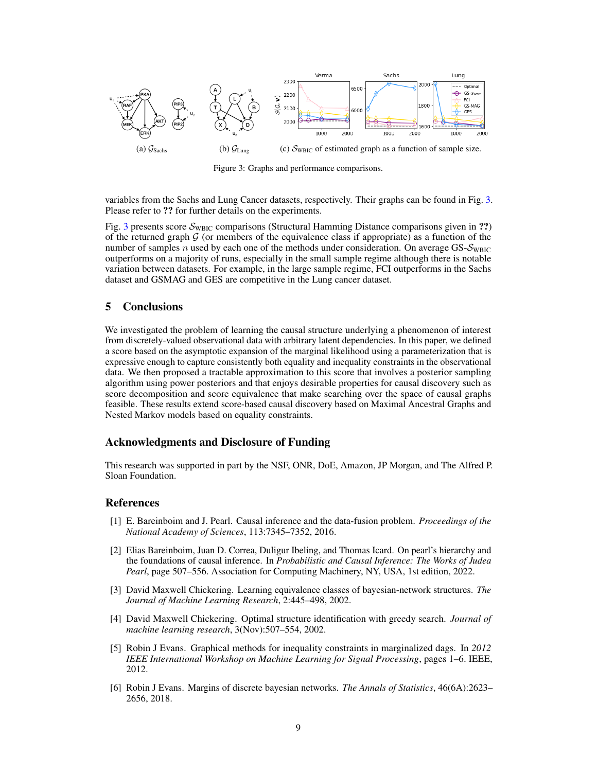<span id="page-8-6"></span>

Figure 3: Graphs and performance comparisons.

variables from the Sachs and Lung Cancer datasets, respectively. Their graphs can be found in Fig. [3.](#page-8-6) Please refer to ?? for further details on the experiments.

Fig. [3](#page-8-6) presents score  $S_{\text{WBC}}$  comparisons (Structural Hamming Distance comparisons given in ??) of the returned graph  $G$  (or members of the equivalence class if appropriate) as a function of the number of samples n used by each one of the methods under consideration. On average GS- $S_{WBC}$ outperforms on a majority of runs, especially in the small sample regime although there is notable variation between datasets. For example, in the large sample regime, FCI outperforms in the Sachs dataset and GSMAG and GES are competitive in the Lung cancer dataset.

## 5 Conclusions

We investigated the problem of learning the causal structure underlying a phenomenon of interest from discretely-valued observational data with arbitrary latent dependencies. In this paper, we defined a score based on the asymptotic expansion of the marginal likelihood using a parameterization that is expressive enough to capture consistently both equality and inequality constraints in the observational data. We then proposed a tractable approximation to this score that involves a posterior sampling algorithm using power posteriors and that enjoys desirable properties for causal discovery such as score decomposition and score equivalence that make searching over the space of causal graphs feasible. These results extend score-based causal discovery based on Maximal Ancestral Graphs and Nested Markov models based on equality constraints.

#### Acknowledgments and Disclosure of Funding

This research was supported in part by the NSF, ONR, DoE, Amazon, JP Morgan, and The Alfred P. Sloan Foundation.

#### References

- <span id="page-8-3"></span>[1] E. Bareinboim and J. Pearl. Causal inference and the data-fusion problem. *Proceedings of the National Academy of Sciences*, 113:7345–7352, 2016.
- <span id="page-8-4"></span>[2] Elias Bareinboim, Juan D. Correa, Duligur Ibeling, and Thomas Icard. On pearl's hierarchy and the foundations of causal inference. In *Probabilistic and Causal Inference: The Works of Judea Pearl*, page 507–556. Association for Computing Machinery, NY, USA, 1st edition, 2022.
- <span id="page-8-0"></span>[3] David Maxwell Chickering. Learning equivalence classes of bayesian-network structures. *The Journal of Machine Learning Research*, 2:445–498, 2002.
- <span id="page-8-1"></span>[4] David Maxwell Chickering. Optimal structure identification with greedy search. *Journal of machine learning research*, 3(Nov):507–554, 2002.
- <span id="page-8-5"></span>[5] Robin J Evans. Graphical methods for inequality constraints in marginalized dags. In *2012 IEEE International Workshop on Machine Learning for Signal Processing*, pages 1–6. IEEE, 2012.
- <span id="page-8-2"></span>[6] Robin J Evans. Margins of discrete bayesian networks. *The Annals of Statistics*, 46(6A):2623– 2656, 2018.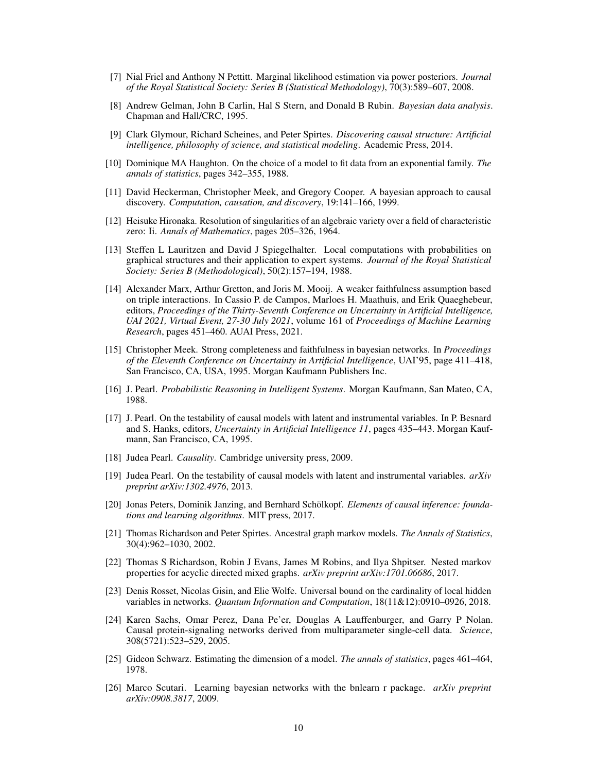- <span id="page-9-16"></span>[7] Nial Friel and Anthony N Pettitt. Marginal likelihood estimation via power posteriors. *Journal of the Royal Statistical Society: Series B (Statistical Methodology)*, 70(3):589–607, 2008.
- <span id="page-9-7"></span>[8] Andrew Gelman, John B Carlin, Hal S Stern, and Donald B Rubin. *Bayesian data analysis*. Chapman and Hall/CRC, 1995.
- <span id="page-9-5"></span>[9] Clark Glymour, Richard Scheines, and Peter Spirtes. *Discovering causal structure: Artificial intelligence, philosophy of science, and statistical modeling*. Academic Press, 2014.
- <span id="page-9-10"></span>[10] Dominique MA Haughton. On the choice of a model to fit data from an exponential family. *The annals of statistics*, pages 342–355, 1988.
- <span id="page-9-8"></span>[11] David Heckerman, Christopher Meek, and Gregory Cooper. A bayesian approach to causal discovery. *Computation, causation, and discovery*, 19:141–166, 1999.
- <span id="page-9-14"></span>[12] Heisuke Hironaka. Resolution of singularities of an algebraic variety over a field of characteristic zero: Ii. *Annals of Mathematics*, pages 205–326, 1964.
- <span id="page-9-18"></span>[13] Steffen L Lauritzen and David J Spiegelhalter. Local computations with probabilities on graphical structures and their application to expert systems. *Journal of the Royal Statistical Society: Series B (Methodological)*, 50(2):157–194, 1988.
- <span id="page-9-4"></span>[14] Alexander Marx, Arthur Gretton, and Joris M. Mooij. A weaker faithfulness assumption based on triple interactions. In Cassio P. de Campos, Marloes H. Maathuis, and Erik Quaeghebeur, editors, *Proceedings of the Thirty-Seventh Conference on Uncertainty in Artificial Intelligence, UAI 2021, Virtual Event, 27-30 July 2021*, volume 161 of *Proceedings of Machine Learning Research*, pages 451–460. AUAI Press, 2021.
- <span id="page-9-3"></span>[15] Christopher Meek. Strong completeness and faithfulness in bayesian networks. In *Proceedings of the Eleventh Conference on Uncertainty in Artificial Intelligence*, UAI'95, page 411–418, San Francisco, CA, USA, 1995. Morgan Kaufmann Publishers Inc.
- <span id="page-9-2"></span>[16] J. Pearl. *Probabilistic Reasoning in Intelligent Systems*. Morgan Kaufmann, San Mateo, CA, 1988.
- <span id="page-9-15"></span>[17] J. Pearl. On the testability of causal models with latent and instrumental variables. In P. Besnard and S. Hanks, editors, *Uncertainty in Artificial Intelligence 11*, pages 435–443. Morgan Kaufmann, San Francisco, CA, 1995.
- <span id="page-9-0"></span>[18] Judea Pearl. *Causality*. Cambridge university press, 2009.
- <span id="page-9-11"></span>[19] Judea Pearl. On the testability of causal models with latent and instrumental variables. *arXiv preprint arXiv:1302.4976*, 2013.
- <span id="page-9-1"></span>[20] Jonas Peters, Dominik Janzing, and Bernhard Schölkopf. *Elements of causal inference: foundations and learning algorithms*. MIT press, 2017.
- <span id="page-9-6"></span>[21] Thomas Richardson and Peter Spirtes. Ancestral graph markov models. *The Annals of Statistics*, 30(4):962–1030, 2002.
- <span id="page-9-12"></span>[22] Thomas S Richardson, Robin J Evans, James M Robins, and Ilya Shpitser. Nested markov properties for acyclic directed mixed graphs. *arXiv preprint arXiv:1701.06686*, 2017.
- <span id="page-9-13"></span>[23] Denis Rosset, Nicolas Gisin, and Elie Wolfe. Universal bound on the cardinality of local hidden variables in networks. *Quantum Information and Computation*, 18(11&12):0910–0926, 2018.
- <span id="page-9-17"></span>[24] Karen Sachs, Omar Perez, Dana Pe'er, Douglas A Lauffenburger, and Garry P Nolan. Causal protein-signaling networks derived from multiparameter single-cell data. *Science*, 308(5721):523–529, 2005.
- <span id="page-9-9"></span>[25] Gideon Schwarz. Estimating the dimension of a model. *The annals of statistics*, pages 461–464, 1978.
- <span id="page-9-19"></span>[26] Marco Scutari. Learning bayesian networks with the bnlearn r package. *arXiv preprint arXiv:0908.3817*, 2009.